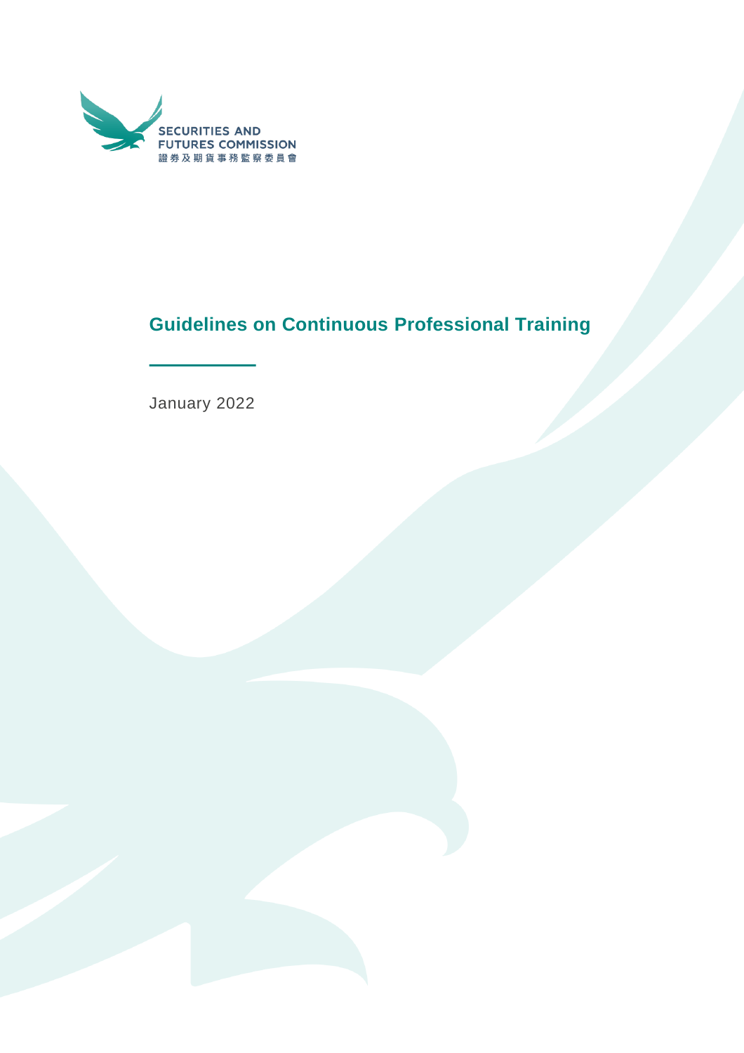

# **Guidelines on Continuous Professional Training**

January 2022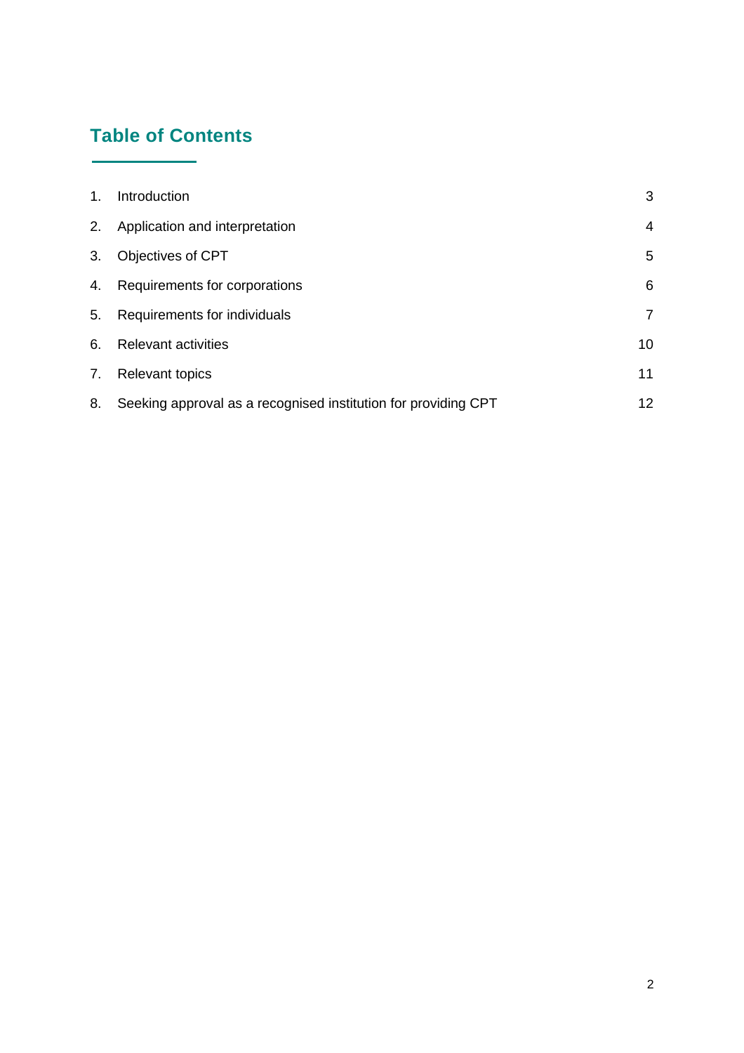## **Table of Contents**

L.

| 1. | Introduction                                                   | 3              |
|----|----------------------------------------------------------------|----------------|
| 2. | Application and interpretation                                 | 4              |
| 3. | Objectives of CPT                                              | 5              |
| 4. | Requirements for corporations                                  | 6              |
| 5. | Requirements for individuals                                   | $\overline{7}$ |
| 6. | <b>Relevant activities</b>                                     | 10             |
| 7. | <b>Relevant topics</b>                                         | 11             |
| 8. | Seeking approval as a recognised institution for providing CPT | 12             |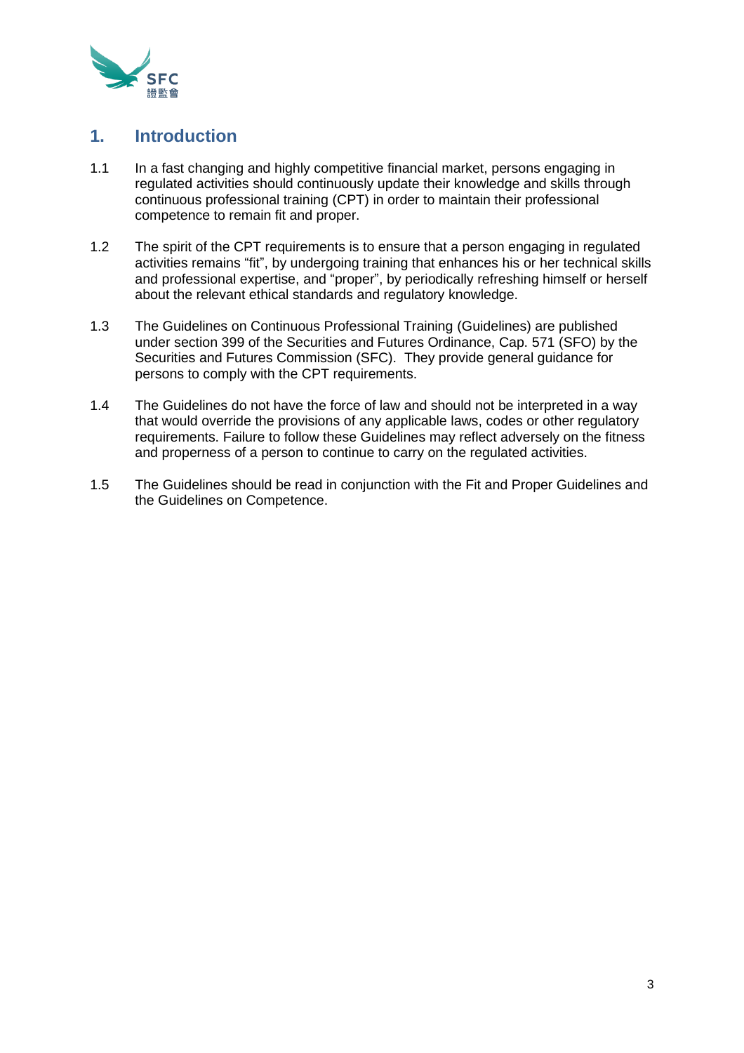

#### <span id="page-2-0"></span>**1. Introduction**

- 1.1 In a fast changing and highly competitive financial market, persons engaging in regulated activities should continuously update their knowledge and skills through continuous professional training (CPT) in order to maintain their professional competence to remain fit and proper.
- 1.2 The spirit of the CPT requirements is to ensure that a person engaging in regulated activities remains "fit", by undergoing training that enhances his or her technical skills and professional expertise, and "proper", by periodically refreshing himself or herself about the relevant ethical standards and regulatory knowledge.
- 1.3 The Guidelines on Continuous Professional Training (Guidelines) are published under section 399 of the Securities and Futures Ordinance, Cap. 571 (SFO) by the Securities and Futures Commission (SFC). They provide general guidance for persons to comply with the CPT requirements.
- 1.4 The Guidelines do not have the force of law and should not be interpreted in a way that would override the provisions of any applicable laws, codes or other regulatory requirements. Failure to follow these Guidelines may reflect adversely on the fitness and properness of a person to continue to carry on the regulated activities.
- 1.5 The Guidelines should be read in conjunction with the Fit and Proper Guidelines and the Guidelines on Competence.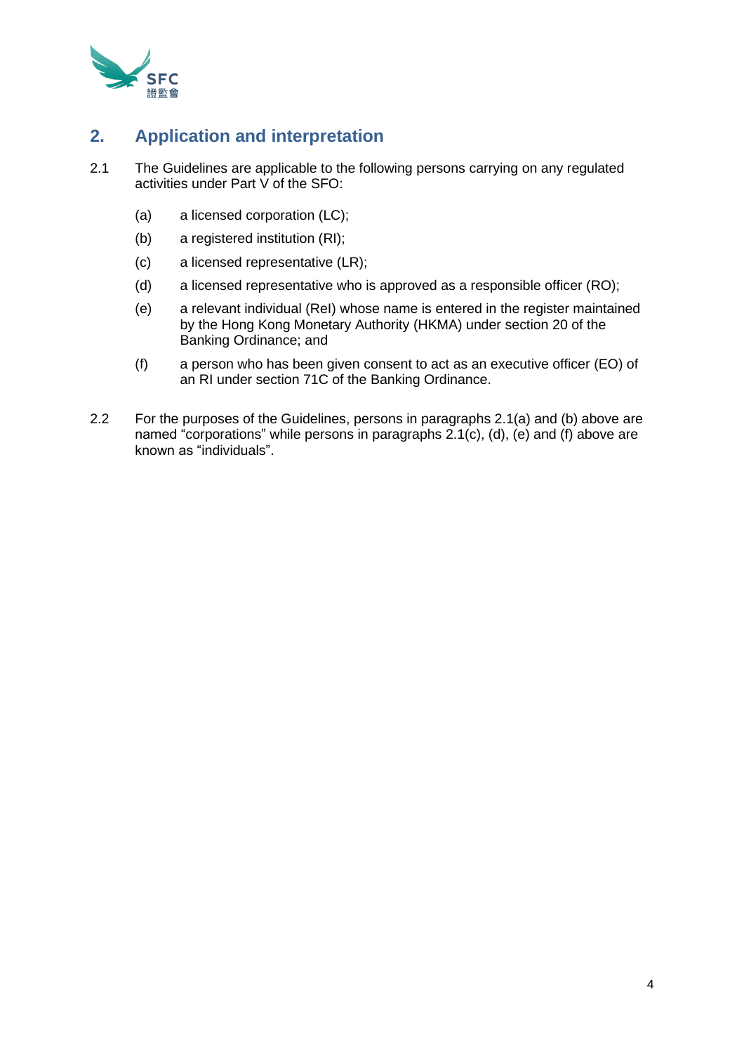

## <span id="page-3-0"></span>**2. Application and interpretation**

- 2.1 The Guidelines are applicable to the following persons carrying on any regulated activities under Part V of the SFO:
	- (a) a licensed corporation (LC);
	- (b) a registered institution (RI);
	- (c) a licensed representative (LR);
	- (d) a licensed representative who is approved as a responsible officer (RO);
	- (e) a relevant individual (ReI) whose name is entered in the register maintained by the Hong Kong Monetary Authority (HKMA) under section 20 of the Banking Ordinance; and
	- (f) a person who has been given consent to act as an executive officer (EO) of an RI under section 71C of the Banking Ordinance.
- 2.2 For the purposes of the Guidelines, persons in paragraphs 2.1(a) and (b) above are named "corporations" while persons in paragraphs 2.1(c), (d), (e) and (f) above are known as "individuals".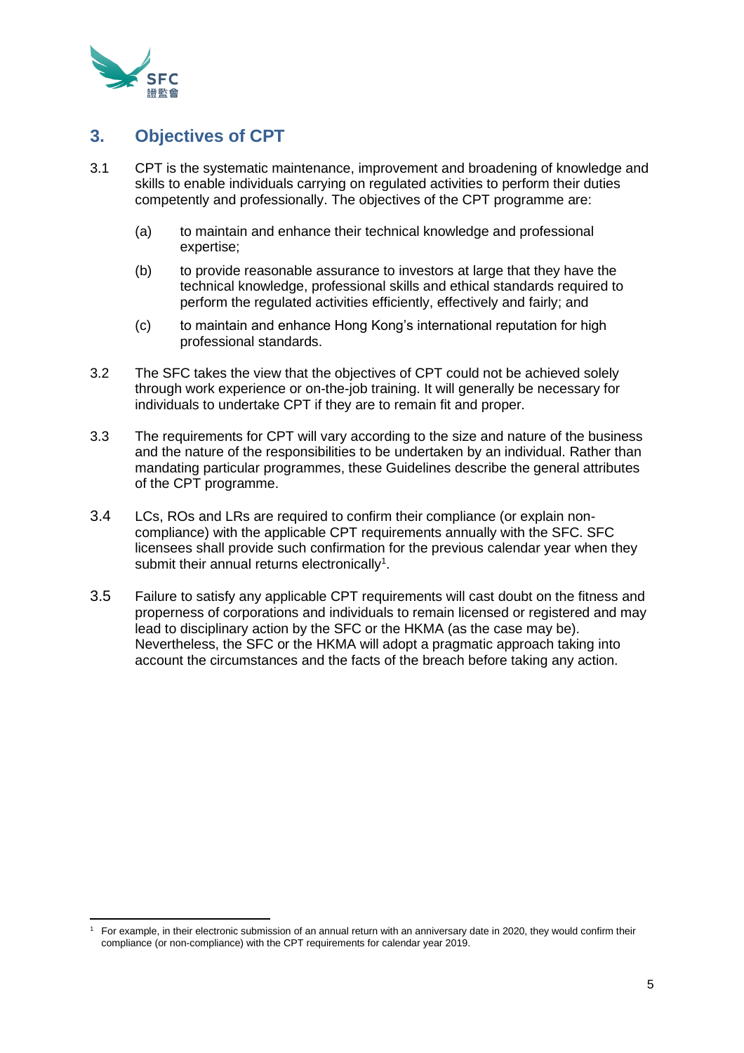

## <span id="page-4-0"></span>**3. Objectives of CPT**

- 3.1 CPT is the systematic maintenance, improvement and broadening of knowledge and skills to enable individuals carrying on regulated activities to perform their duties competently and professionally. The objectives of the CPT programme are:
	- (a) to maintain and enhance their technical knowledge and professional expertise;
	- (b) to provide reasonable assurance to investors at large that they have the technical knowledge, professional skills and ethical standards required to perform the regulated activities efficiently, effectively and fairly; and
	- (c) to maintain and enhance Hong Kong's international reputation for high professional standards.
- 3.2 The SFC takes the view that the objectives of CPT could not be achieved solely through work experience or on-the-job training. It will generally be necessary for individuals to undertake CPT if they are to remain fit and proper.
- 3.3 The requirements for CPT will vary according to the size and nature of the business and the nature of the responsibilities to be undertaken by an individual. Rather than mandating particular programmes, these Guidelines describe the general attributes of the CPT programme.
- 3.4 LCs, ROs and LRs are required to confirm their compliance (or explain noncompliance) with the applicable CPT requirements annually with the SFC. SFC licensees shall provide such confirmation for the previous calendar year when they submit their annual returns electronically<sup>1</sup>.
- 3.5 Failure to satisfy any applicable CPT requirements will cast doubt on the fitness and properness of corporations and individuals to remain licensed or registered and may lead to disciplinary action by the SFC or the HKMA (as the case may be). Nevertheless, the SFC or the HKMA will adopt a pragmatic approach taking into account the circumstances and the facts of the breach before taking any action.

<sup>1</sup> For example, in their electronic submission of an annual return with an anniversary date in 2020, they would confirm their compliance (or non-compliance) with the CPT requirements for calendar year 2019.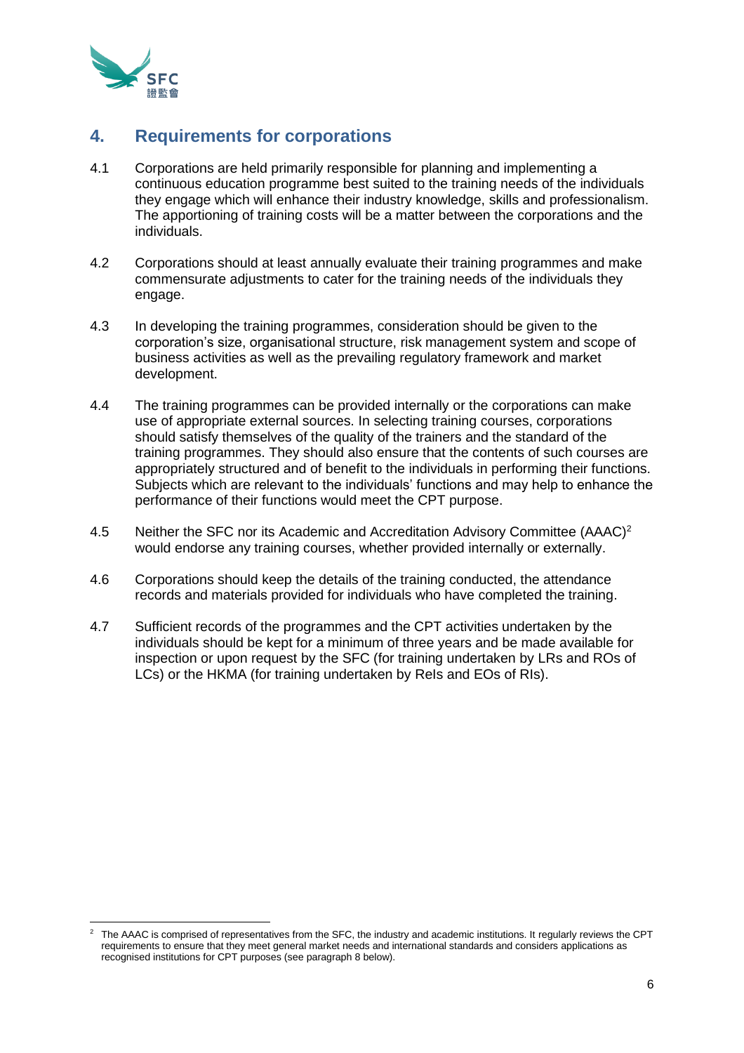

#### <span id="page-5-0"></span>**4. Requirements for corporations**

- 4.1 Corporations are held primarily responsible for planning and implementing a continuous education programme best suited to the training needs of the individuals they engage which will enhance their industry knowledge, skills and professionalism. The apportioning of training costs will be a matter between the corporations and the individuals.
- 4.2 Corporations should at least annually evaluate their training programmes and make commensurate adjustments to cater for the training needs of the individuals they engage.
- 4.3 In developing the training programmes, consideration should be given to the corporation's size, organisational structure, risk management system and scope of business activities as well as the prevailing regulatory framework and market development.
- 4.4 The training programmes can be provided internally or the corporations can make use of appropriate external sources. In selecting training courses, corporations should satisfy themselves of the quality of the trainers and the standard of the training programmes. They should also ensure that the contents of such courses are appropriately structured and of benefit to the individuals in performing their functions. Subjects which are relevant to the individuals' functions and may help to enhance the performance of their functions would meet the CPT purpose.
- 4.5 Neither the SFC nor its Academic and Accreditation Advisory Committee (AAAC)<sup>2</sup> would endorse any training courses, whether provided internally or externally.
- 4.6 Corporations should keep the details of the training conducted, the attendance records and materials provided for individuals who have completed the training.
- 4.7 Sufficient records of the programmes and the CPT activities undertaken by the individuals should be kept for a minimum of three years and be made available for inspection or upon request by the SFC (for training undertaken by LRs and ROs of LCs) or the HKMA (for training undertaken by ReIs and EOs of RIs).

<sup>&</sup>lt;sup>2</sup> The AAAC is comprised of representatives from the SFC, the industry and academic institutions. It regularly reviews the CPT requirements to ensure that they meet general market needs and international standards and considers applications as recognised institutions for CPT purposes (see paragraph 8 below).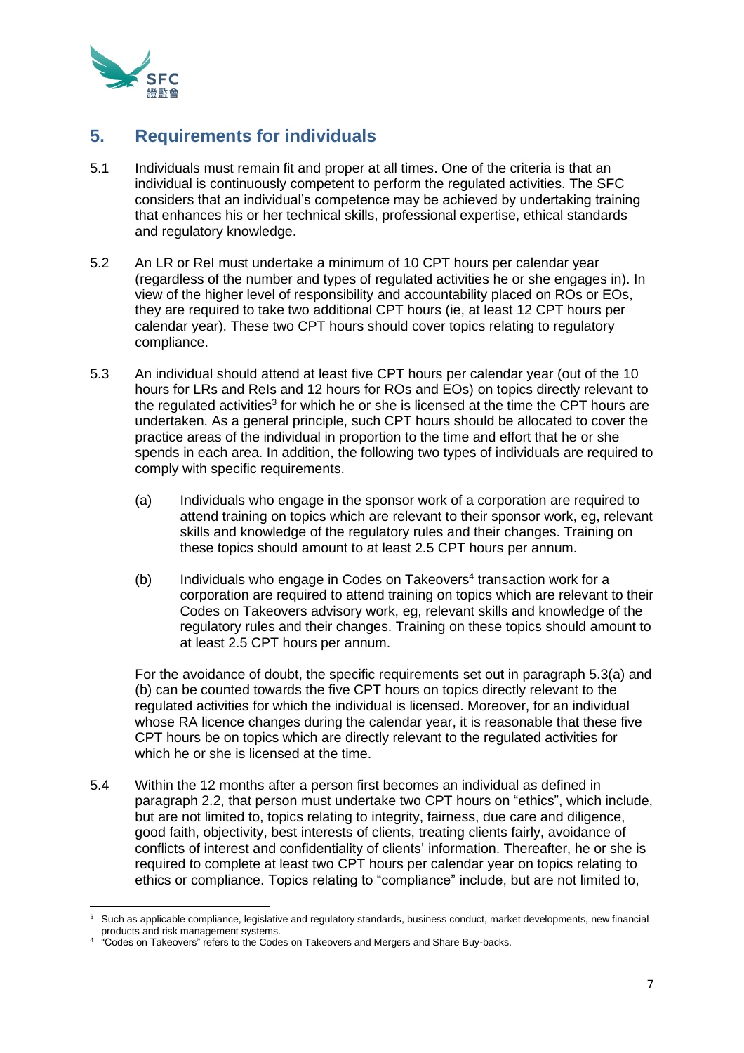

## <span id="page-6-0"></span>**5. Requirements for individuals**

- 5.1 Individuals must remain fit and proper at all times. One of the criteria is that an individual is continuously competent to perform the regulated activities. The SFC considers that an individual's competence may be achieved by undertaking training that enhances his or her technical skills, professional expertise, ethical standards and regulatory knowledge.
- 5.2 An LR or ReI must undertake a minimum of 10 CPT hours per calendar year (regardless of the number and types of regulated activities he or she engages in). In view of the higher level of responsibility and accountability placed on ROs or EOs, they are required to take two additional CPT hours (ie, at least 12 CPT hours per calendar year). These two CPT hours should cover topics relating to regulatory compliance.
- 5.3 An individual should attend at least five CPT hours per calendar year (out of the 10 hours for LRs and ReIs and 12 hours for ROs and EOs) on topics directly relevant to the regulated activities<sup>3</sup> for which he or she is licensed at the time the CPT hours are undertaken. As a general principle, such CPT hours should be allocated to cover the practice areas of the individual in proportion to the time and effort that he or she spends in each area. In addition, the following two types of individuals are required to comply with specific requirements.
	- (a) Individuals who engage in the sponsor work of a corporation are required to attend training on topics which are relevant to their sponsor work, eg, relevant skills and knowledge of the regulatory rules and their changes. Training on these topics should amount to at least 2.5 CPT hours per annum.
	- (b) Individuals who engage in Codes on Takeovers<sup>4</sup> transaction work for a corporation are required to attend training on topics which are relevant to their Codes on Takeovers advisory work, eg, relevant skills and knowledge of the regulatory rules and their changes. Training on these topics should amount to at least 2.5 CPT hours per annum.

For the avoidance of doubt, the specific requirements set out in paragraph 5.3(a) and (b) can be counted towards the five CPT hours on topics directly relevant to the regulated activities for which the individual is licensed. Moreover, for an individual whose RA licence changes during the calendar year, it is reasonable that these five CPT hours be on topics which are directly relevant to the regulated activities for which he or she is licensed at the time.

5.4 Within the 12 months after a person first becomes an individual as defined in paragraph 2.2, that person must undertake two CPT hours on "ethics", which include, but are not limited to, topics relating to integrity, fairness, due care and diligence, good faith, objectivity, best interests of clients, treating clients fairly, avoidance of conflicts of interest and confidentiality of clients' information. Thereafter, he or she is required to complete at least two CPT hours per calendar year on topics relating to ethics or compliance. Topics relating to "compliance" include, but are not limited to,

Such as applicable compliance, legislative and regulatory standards, business conduct, market developments, new financial products and risk management systems.

<sup>4</sup> "Codes on Takeovers" refers to the Codes on Takeovers and Mergers and Share Buy-backs.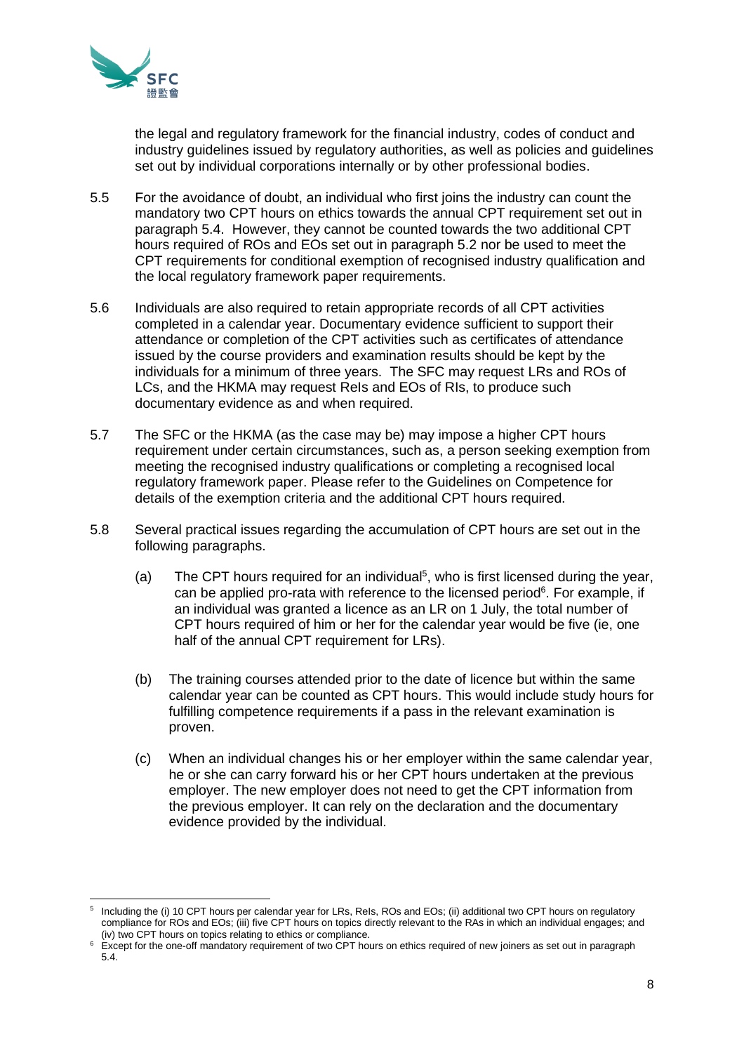

the legal and regulatory framework for the financial industry, codes of conduct and industry guidelines issued by regulatory authorities, as well as policies and guidelines set out by individual corporations internally or by other professional bodies.

- 5.5 For the avoidance of doubt, an individual who first joins the industry can count the mandatory two CPT hours on ethics towards the annual CPT requirement set out in paragraph 5.4. However, they cannot be counted towards the two additional CPT hours required of ROs and EOs set out in paragraph 5.2 nor be used to meet the CPT requirements for conditional exemption of recognised industry qualification and the local regulatory framework paper requirements.
- 5.6 Individuals are also required to retain appropriate records of all CPT activities completed in a calendar year. Documentary evidence sufficient to support their attendance or completion of the CPT activities such as certificates of attendance issued by the course providers and examination results should be kept by the individuals for a minimum of three years. The SFC may request LRs and ROs of LCs, and the HKMA may request ReIs and EOs of RIs, to produce such documentary evidence as and when required.
- 5.7 The SFC or the HKMA (as the case may be) may impose a higher CPT hours requirement under certain circumstances, such as, a person seeking exemption from meeting the recognised industry qualifications or completing a recognised local regulatory framework paper. Please refer to the Guidelines on Competence for details of the exemption criteria and the additional CPT hours required.
- 5.8 Several practical issues regarding the accumulation of CPT hours are set out in the following paragraphs.
	- (a) The CPT hours required for an individual<sup>5</sup>, who is first licensed during the year, can be applied pro-rata with reference to the licensed period<sup>6</sup>. For example, if an individual was granted a licence as an LR on 1 July, the total number of CPT hours required of him or her for the calendar year would be five (ie, one half of the annual CPT requirement for LRs).
	- (b) The training courses attended prior to the date of licence but within the same calendar year can be counted as CPT hours. This would include study hours for fulfilling competence requirements if a pass in the relevant examination is proven.
	- (c) When an individual changes his or her employer within the same calendar year, he or she can carry forward his or her CPT hours undertaken at the previous employer. The new employer does not need to get the CPT information from the previous employer. It can rely on the declaration and the documentary evidence provided by the individual.

<sup>5</sup> Including the (i) 10 CPT hours per calendar year for LRs, ReIs, ROs and EOs; (ii) additional two CPT hours on regulatory compliance for ROs and EOs; (iii) five CPT hours on topics directly relevant to the RAs in which an individual engages; and (iv) two CPT hours on topics relating to ethics or compliance.

Except for the one-off mandatory requirement of two CPT hours on ethics required of new joiners as set out in paragraph 5.4.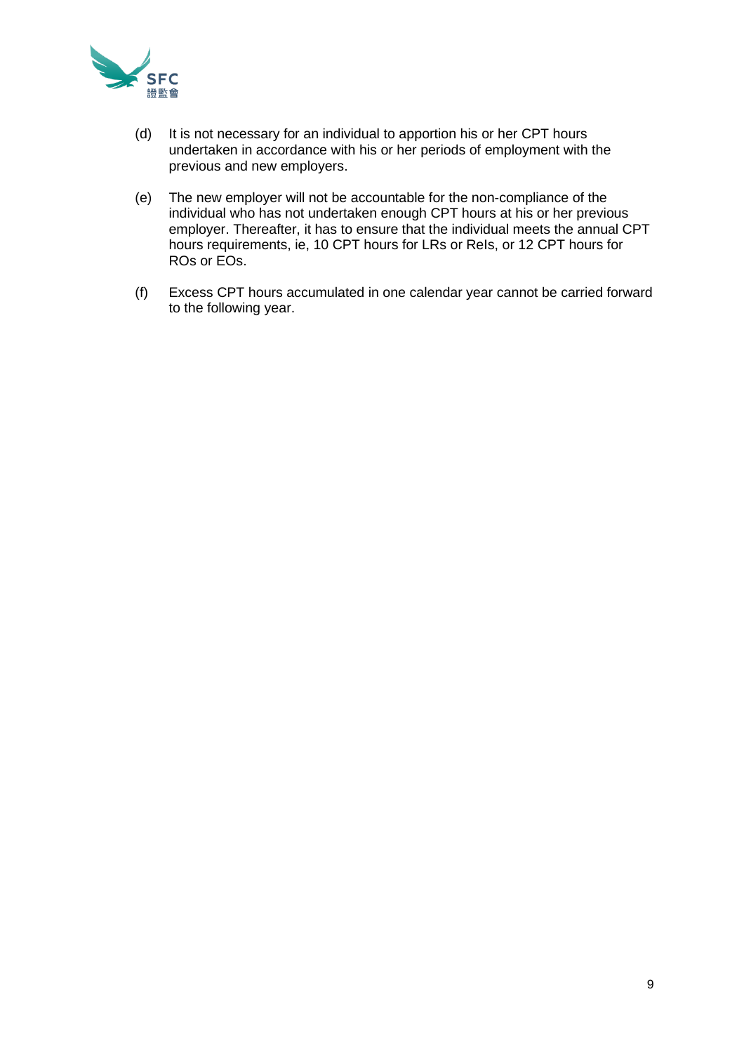

- (d) It is not necessary for an individual to apportion his or her CPT hours undertaken in accordance with his or her periods of employment with the previous and new employers.
- (e) The new employer will not be accountable for the non-compliance of the individual who has not undertaken enough CPT hours at his or her previous employer. Thereafter, it has to ensure that the individual meets the annual CPT hours requirements, ie, 10 CPT hours for LRs or ReIs, or 12 CPT hours for ROs or EOs.
- (f) Excess CPT hours accumulated in one calendar year cannot be carried forward to the following year.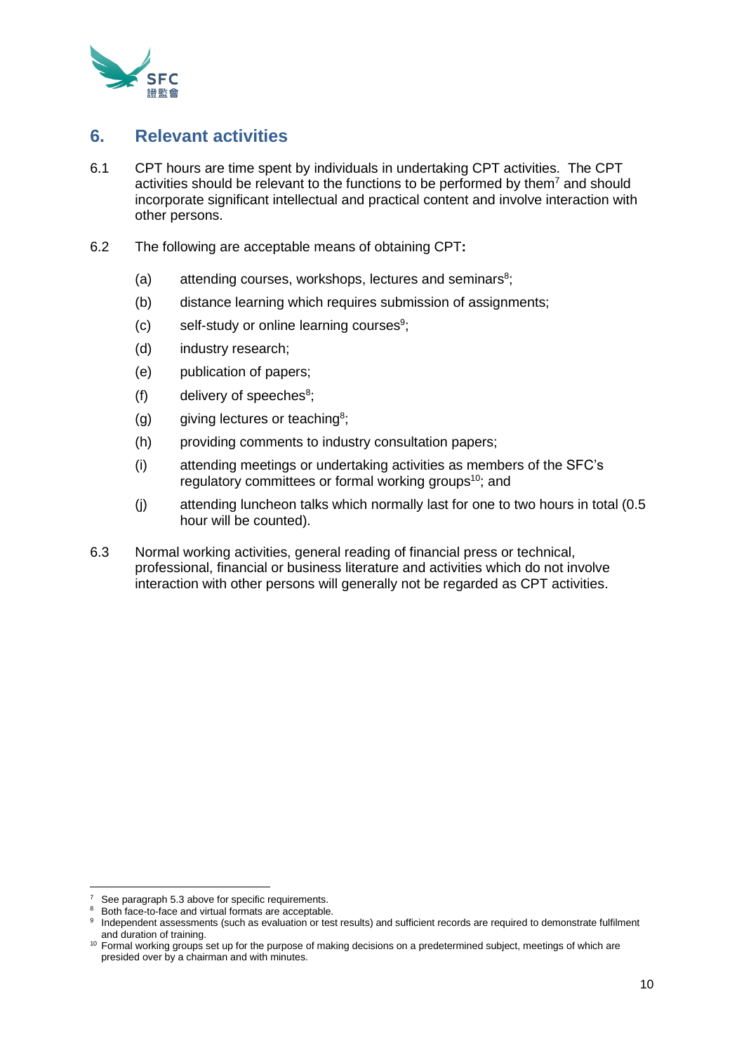

#### <span id="page-9-0"></span>**6. Relevant activities**

- 6.1 CPT hours are time spent by individuals in undertaking CPT activities. The CPT activities should be relevant to the functions to be performed by them<sup>7</sup> and should incorporate significant intellectual and practical content and involve interaction with other persons.
- 6.2 The following are acceptable means of obtaining CPT**:**
	- $(a)$  attending courses, workshops, lectures and seminars<sup>8</sup>;
	- (b) distance learning which requires submission of assignments;
	- (c) self-study or online learning courses<sup>9</sup>;
	- (d) industry research;
	- (e) publication of papers;
	- $(f)$  delivery of speeches<sup>8</sup>;
	- (g) giving lectures or teaching<sup>8</sup>;
	- (h) providing comments to industry consultation papers;
	- (i) attending meetings or undertaking activities as members of the SFC's regulatory committees or formal working groups<sup>10</sup>; and
	- (j) attending luncheon talks which normally last for one to two hours in total (0.5 hour will be counted).
- 6.3 Normal working activities, general reading of financial press or technical, professional, financial or business literature and activities which do not involve interaction with other persons will generally not be regarded as CPT activities.

See paragraph 5.3 above for specific requirements.

<sup>&</sup>lt;sup>8</sup> Both face-to-face and virtual formats are acceptable.

<sup>9</sup> Independent assessments (such as evaluation or test results) and sufficient records are required to demonstrate fulfilment and duration of training.

<sup>&</sup>lt;sup>10</sup> Formal working groups set up for the purpose of making decisions on a predetermined subject, meetings of which are presided over by a chairman and with minutes.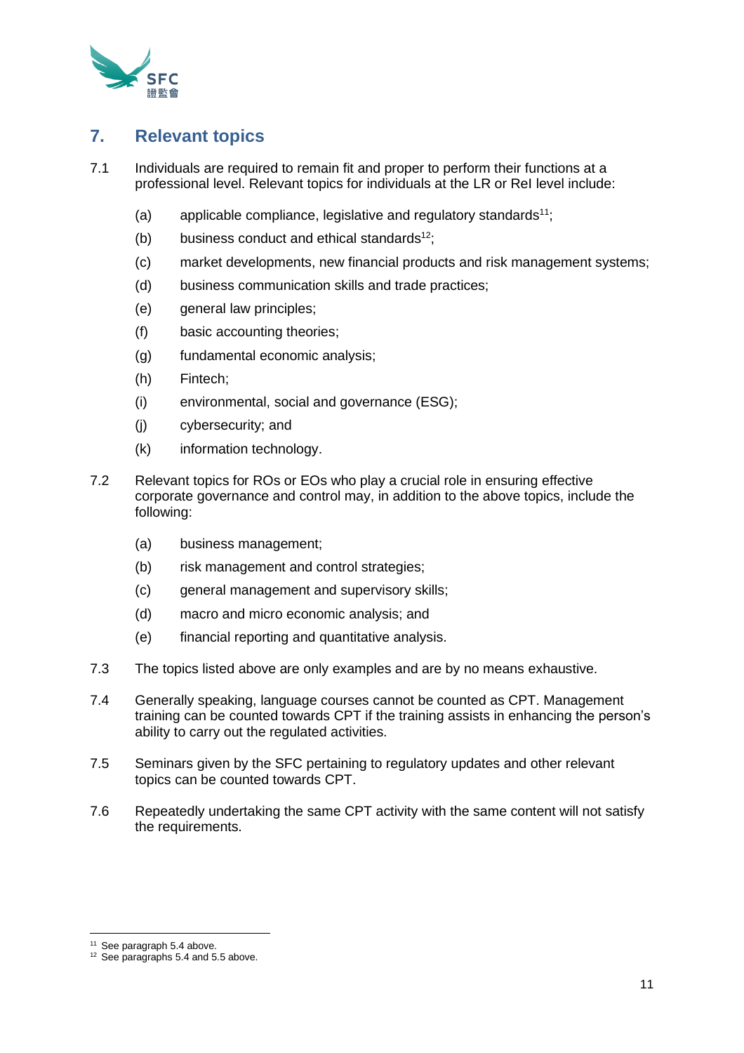

#### <span id="page-10-0"></span>**7. Relevant topics**

- 7.1 Individuals are required to remain fit and proper to perform their functions at a professional level. Relevant topics for individuals at the LR or ReI level include:
	- (a) applicable compliance, legislative and regulatory standards<sup>11</sup>;
	- (b) business conduct and ethical standards $12$ ;
	- (c) market developments, new financial products and risk management systems;
	- (d) business communication skills and trade practices;
	- (e) general law principles;
	- (f) basic accounting theories;
	- (g) fundamental economic analysis;
	- (h) Fintech;
	- (i) environmental, social and governance (ESG);
	- (j) cybersecurity; and
	- (k) information technology.
- 7.2 Relevant topics for ROs or EOs who play a crucial role in ensuring effective corporate governance and control may, in addition to the above topics, include the following:
	- (a) business management;
	- (b) risk management and control strategies;
	- (c) general management and supervisory skills;
	- (d) macro and micro economic analysis; and
	- (e) financial reporting and quantitative analysis.
- 7.3 The topics listed above are only examples and are by no means exhaustive.
- 7.4 Generally speaking, language courses cannot be counted as CPT. Management training can be counted towards CPT if the training assists in enhancing the person's ability to carry out the regulated activities.
- 7.5 Seminars given by the SFC pertaining to regulatory updates and other relevant topics can be counted towards CPT.
- 7.6 Repeatedly undertaking the same CPT activity with the same content will not satisfy the requirements.

<sup>&</sup>lt;sup>11</sup> See paragraph 5.4 above.

<sup>&</sup>lt;sup>12</sup> See paragraphs 5.4 and 5.5 above.